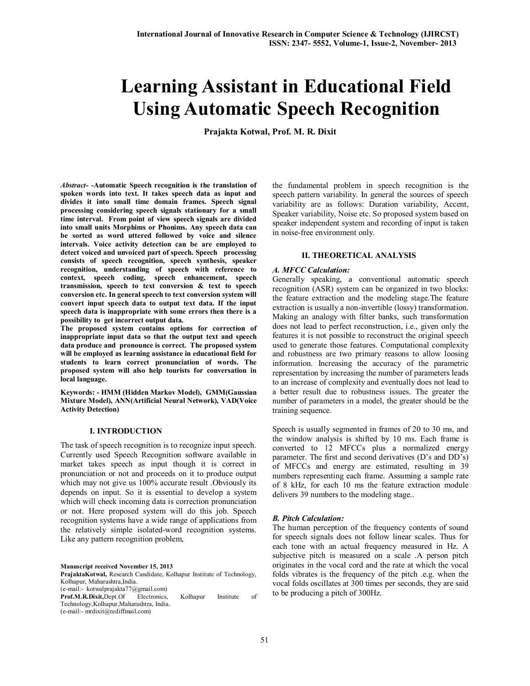# **Learning Assistant in Educational Field Using Automatic Speech Recognition**

**Prajakta Kotwal, Prof. M. R. Dixit**

*Abstract-* **-Automatic Speech recognition is the translation of spoken words into text. It takes speech data as input and divides it into small time domain frames. Speech signal processing considering speech signals stationary for a small time interval. From point of view speech signals are divided into small units Morphims or Phonims. Any speech data can be sorted as word uttered followed by voice and silence intervals. Voice activity detection can be are employed to detect voiced and unvoiced part of speech. Speech processing consists of speech recognition, speech synthesis, speaker recognition, understanding of speech with reference to context, speech coding, speech enhancement, speech transmission, speech to text conversion & text to speech conversion etc. In general speech to text conversion system will convert input speech data to output text data. If the input speech data is inappropriate with some errors then there is a possibility to get incorrect output data.**

**The proposed system contains options for correction of inappropriate input data so that the output text and speech data produce and pronounce is correct. The proposed system will be employed as learning assistance in educational field for students to learn correct pronunciation of words. The proposed system will also help tourists for conversation in local language.**

**Keywords: - HMM (Hidden Markov Model), GMM(Gaussian Mixture Model), ANN(Artificial Neural Network), VAD(Voice Activity Detection)**

# **I. INTRODUCTION**

The task of speech recognition is to recognize input speech. Currently used Speech Recognition software available in market takes speech as input though it is correct in pronunciation or not and proceeds on it to produce output which may not give us  $100\%$  accurate result . Obviously its depends on input. So it is essential to develop a system which will check incoming data is correction pronunciation or not. Here proposed system will do this job. Speech recognition systems have a wide range of applications from the relatively simple isolated-word recognition systems. Like any pattern recognition problem,

**Manuscript received November 15, 2013**

**PrajaktaKotwal,** Research Candidate, Kolhapur Institute of Technology, Kolhapur, Maharashtra,India. (e-mail:- kotwalprajakta77@gmail.com)

**Prof.M.R.Dixit,**Dept.Of Electronics, Kolhapur Institute of

Technology,Kolhapur,Maharashtra, India. (e-mail:- mrdixit@rediffmail.com)

the fundamental problem in speech recognition is the speech pattern variability. In general the sources of speech variability are as follows: Duration variability, Accent, Speaker variability, Noise etc. So proposed system based on speaker independent system and recording of input is taken in noise-free environment only.

## **II. THEORETICAL ANALYSIS**

## *A. MFCC Calculation:*

Generally speaking, a conventional automatic speech recognition (ASR) system can be organized in two blocks: the feature extraction and the modeling stage.The feature extraction is usually a non-invertible (lossy) transformation. Making an analogy with filter banks, such transformation does not lead to perfect reconstruction, i.e., given only the features it is not possible to reconstruct the original speech used to generate those features. Computational complexity and robustness are two primary reasons to allow loosing information. Increasing the accuracy of the parametric representation by increasing the number of parameters leads to an increase of complexity and eventually does not lead to a better result due to robustness issues. The greater the number of parameters in a model, the greater should be the training sequence.

Speech is usually segmented in frames of 20 to 30 ms, and the window analysis is shifted by 10 ms. Each frame is converted to 12 MFCCs plus a normalized energy parameter. The first and second derivatives (D's and DD's) of MFCCs and energy are estimated, resulting in 39 numbers representing each frame. Assuming a sample rate of 8 kHz, for each 10 ms the feature extraction module delivers 39 numbers to the modeling stage..

## *B. Pitch Calculation:*

The human perception of the frequency contents of sound for speech signals does not follow linear scales. Thus for each tone with an actual frequency measured in Hz. A subjective pitch is measured on a scale .A person pitch originates in the vocal cord and the rate at which the vocal folds vibrates is the frequency of the pitch .e.g. when the vocal folds oscillates at 300 times per seconds, they are said to be producing a pitch of 300Hz.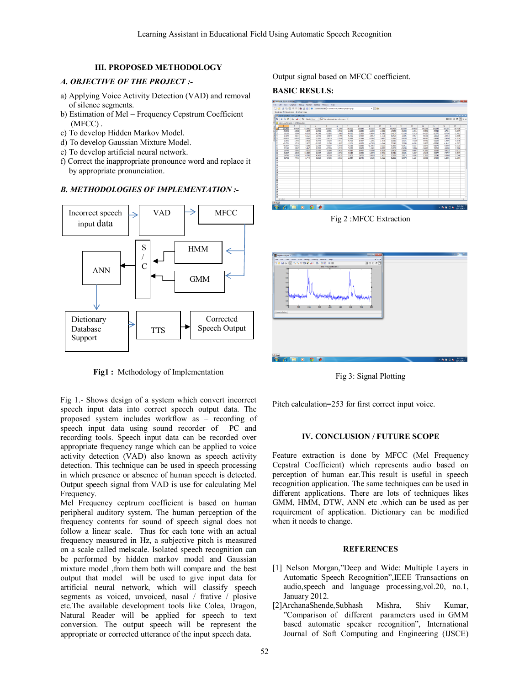# **III. PROPOSED METHODOLOGY**

# *A. OBJECTIVE OF THE PROJECT :-*

- a) Applying Voice Activity Detection (VAD) and removal of silence segments.
- b) Estimation of Mel Frequency Cepstrum Coefficient (MFCC) .
- c) To develop Hidden Markov Model.
- d) To develop Gaussian Mixture Model.
- e) To develop artificial neural network.
- f) Correct the inappropriate pronounce word and replace it by appropriate pronunciation.

# *B. METHODOLOGIES OF IMPLEMENTATION :-*



**Fig1 :** Methodology of Implementation

Fig 1.- Shows design of a system which convert incorrect speech input data into correct speech output data. The proposed system includes workflow as – recording of speech input data using sound recorder of PC and recording tools. Speech input data can be recorded over appropriate frequency range which can be applied to voice activity detection (VAD) also known as speech activity detection. This technique can be used in speech processing in which presence or absence of human speech is detected. Output speech signal from VAD is use for calculating Mel Frequency.

Mel Frequency ceptrum coefficient is based on human peripheral auditory system. The human perception of the frequency contents for sound of speech signal does not follow a linear scale. Thus for each tone with an actual frequency measured in Hz, a subjective pitch is measured on a scale called melscale. Isolated speech recognition can be performed by hidden markov model and Gaussian mixture model ,from them both will compare and the best output that model will be used to give input data for artificial neural network, which will classify speech segments as voiced, unvoiced, nasal / frative / plosive etc.The available development tools like Colea, Dragon, Natural Reader will be applied for speech to text conversion. The output speech will be represent the appropriate or corrected utterance of the input speech data.

Output signal based on MFCC coefficient.

#### **BASIC RESULS:**



Fig 2 :MFCC Extraction



Fig 3: Signal Plotting

Pitch calculation=253 for first correct input voice.

#### **IV. CONCLUSION / FUTURE SCOPE**

Feature extraction is done by MFCC (Mel Frequency Cepstral Coefficient) which represents audio based on perception of human ear.This result is useful in speech recognition application. The same techniques can be used in different applications. There are lots of techniques likes GMM, HMM, DTW, ANN etc .which can be used as per requirement of application. Dictionary can be modified when it needs to change.

## **REFERENCES**

- [1] Nelson Morgan,"Deep and Wide: Multiple Layers in Automatic Speech Recognition",IEEE Transactions on audio,speech and language processing,vol.20, no.1, January 2012.
- [2]ArchanaShende,Subhash Mishra, Shiv Kumar, "Comparison of different parameters used in GMM based automatic speaker recognition", International Journal of Soft Computing and Engineering (IJSCE)